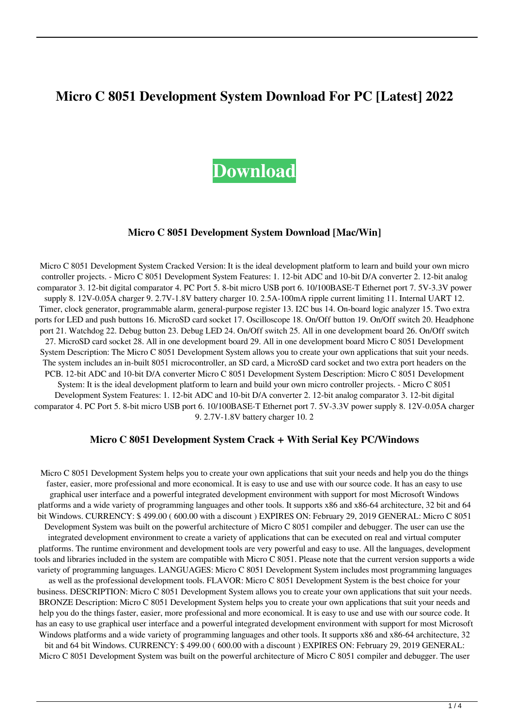# **Micro C 8051 Development System Download For PC [Latest] 2022**

# **[Download](http://evacdir.com/haakonsen/youare.ceridian?panickingto=TWljcm8gQyA4MDUxIERldmVsb3BtZW50IFN5c3RlbQTWl&ZG93bmxvYWR8S1o0T0RjNWNIeDhNVFkxTkRRek5qWTFPSHg4TWpVNU1IeDhLRTBwSUZkdmNtUndjbVZ6Y3lCYldFMU1VbEJESUZZeUlGQkVSbDA..)**

#### **Micro C 8051 Development System Download [Mac/Win]**

Micro C 8051 Development System Cracked Version: It is the ideal development platform to learn and build your own micro controller projects. - Micro C 8051 Development System Features: 1. 12-bit ADC and 10-bit D/A converter 2. 12-bit analog comparator 3. 12-bit digital comparator 4. PC Port 5. 8-bit micro USB port 6. 10/100BASE-T Ethernet port 7. 5V-3.3V power supply 8. 12V-0.05A charger 9. 2.7V-1.8V battery charger 10. 2.5A-100mA ripple current limiting 11. Internal UART 12. Timer, clock generator, programmable alarm, general-purpose register 13. I2C bus 14. On-board logic analyzer 15. Two extra ports for LED and push buttons 16. MicroSD card socket 17. Oscilloscope 18. On/Off button 19. On/Off switch 20. Headphone port 21. Watchdog 22. Debug button 23. Debug LED 24. On/Off switch 25. All in one development board 26. On/Off switch 27. MicroSD card socket 28. All in one development board 29. All in one development board Micro C 8051 Development System Description: The Micro C 8051 Development System allows you to create your own applications that suit your needs. The system includes an in-built 8051 microcontroller, an SD card, a MicroSD card socket and two extra port headers on the PCB. 12-bit ADC and 10-bit D/A converter Micro C 8051 Development System Description: Micro C 8051 Development System: It is the ideal development platform to learn and build your own micro controller projects. - Micro C 8051 Development System Features: 1. 12-bit ADC and 10-bit D/A converter 2. 12-bit analog comparator 3. 12-bit digital comparator 4. PC Port 5. 8-bit micro USB port 6. 10/100BASE-T Ethernet port 7. 5V-3.3V power supply 8. 12V-0.05A charger 9. 2.7V-1.8V battery charger 10. 2

#### **Micro C 8051 Development System Crack + With Serial Key PC/Windows**

Micro C 8051 Development System helps you to create your own applications that suit your needs and help you do the things faster, easier, more professional and more economical. It is easy to use and use with our source code. It has an easy to use graphical user interface and a powerful integrated development environment with support for most Microsoft Windows platforms and a wide variety of programming languages and other tools. It supports x86 and x86-64 architecture, 32 bit and 64 bit Windows. CURRENCY: \$ 499.00 ( 600.00 with a discount ) EXPIRES ON: February 29, 2019 GENERAL: Micro C 8051 Development System was built on the powerful architecture of Micro C 8051 compiler and debugger. The user can use the integrated development environment to create a variety of applications that can be executed on real and virtual computer platforms. The runtime environment and development tools are very powerful and easy to use. All the languages, development tools and libraries included in the system are compatible with Micro C 8051. Please note that the current version supports a wide variety of programming languages. LANGUAGES: Micro C 8051 Development System includes most programming languages as well as the professional development tools. FLAVOR: Micro C 8051 Development System is the best choice for your business. DESCRIPTION: Micro C 8051 Development System allows you to create your own applications that suit your needs. BRONZE Description: Micro C 8051 Development System helps you to create your own applications that suit your needs and help you do the things faster, easier, more professional and more economical. It is easy to use and use with our source code. It has an easy to use graphical user interface and a powerful integrated development environment with support for most Microsoft Windows platforms and a wide variety of programming languages and other tools. It supports x86 and x86-64 architecture, 32 bit and 64 bit Windows. CURRENCY: \$ 499.00 ( 600.00 with a discount ) EXPIRES ON: February 29, 2019 GENERAL:

Micro C 8051 Development System was built on the powerful architecture of Micro C 8051 compiler and debugger. The user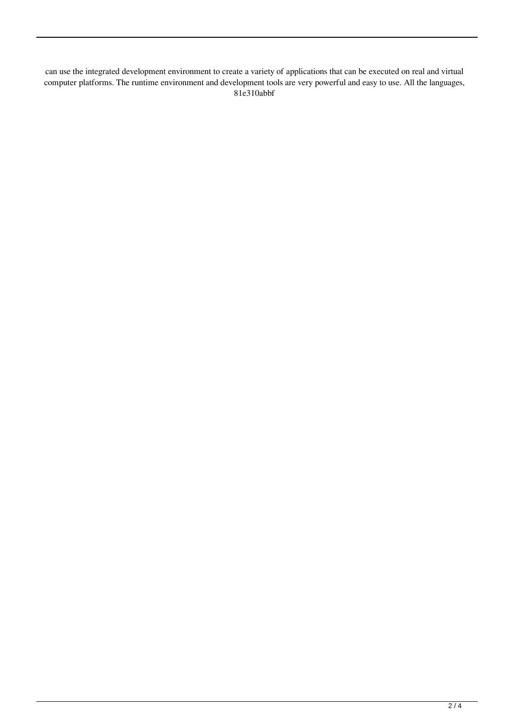can use the integrated development environment to create a variety of applications that can be executed on real and virtual computer platforms. The runtime environment and development tools are very powerful and easy to use. All the languages, 81e310abbf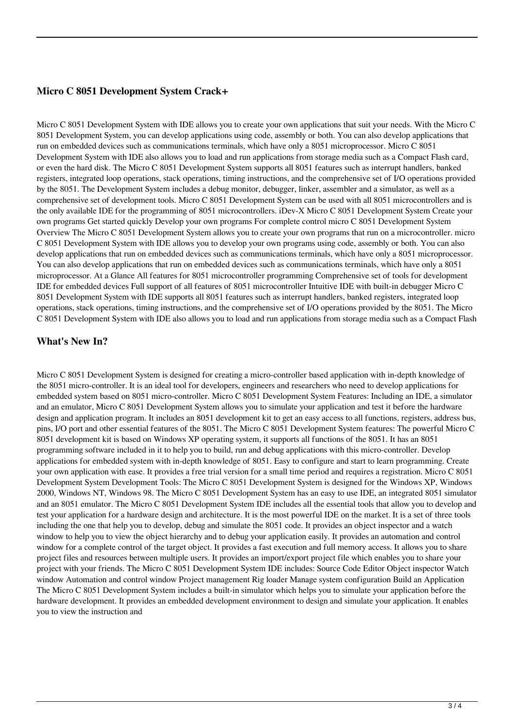### **Micro C 8051 Development System Crack+**

Micro C 8051 Development System with IDE allows you to create your own applications that suit your needs. With the Micro C 8051 Development System, you can develop applications using code, assembly or both. You can also develop applications that run on embedded devices such as communications terminals, which have only a 8051 microprocessor. Micro C 8051 Development System with IDE also allows you to load and run applications from storage media such as a Compact Flash card, or even the hard disk. The Micro C 8051 Development System supports all 8051 features such as interrupt handlers, banked registers, integrated loop operations, stack operations, timing instructions, and the comprehensive set of I/O operations provided by the 8051. The Development System includes a debug monitor, debugger, linker, assembler and a simulator, as well as a comprehensive set of development tools. Micro C 8051 Development System can be used with all 8051 microcontrollers and is the only available IDE for the programming of 8051 microcontrollers. iDev-X Micro C 8051 Development System Create your own programs Get started quickly Develop your own programs For complete control micro C 8051 Development System Overview The Micro C 8051 Development System allows you to create your own programs that run on a microcontroller. micro C 8051 Development System with IDE allows you to develop your own programs using code, assembly or both. You can also develop applications that run on embedded devices such as communications terminals, which have only a 8051 microprocessor. You can also develop applications that run on embedded devices such as communications terminals, which have only a 8051 microprocessor. At a Glance All features for 8051 microcontroller programming Comprehensive set of tools for development IDE for embedded devices Full support of all features of 8051 microcontroller Intuitive IDE with built-in debugger Micro C 8051 Development System with IDE supports all 8051 features such as interrupt handlers, banked registers, integrated loop operations, stack operations, timing instructions, and the comprehensive set of I/O operations provided by the 8051. The Micro C 8051 Development System with IDE also allows you to load and run applications from storage media such as a Compact Flash

#### **What's New In?**

Micro C 8051 Development System is designed for creating a micro-controller based application with in-depth knowledge of the 8051 micro-controller. It is an ideal tool for developers, engineers and researchers who need to develop applications for embedded system based on 8051 micro-controller. Micro C 8051 Development System Features: Including an IDE, a simulator and an emulator, Micro C 8051 Development System allows you to simulate your application and test it before the hardware design and application program. It includes an 8051 development kit to get an easy access to all functions, registers, address bus, pins, I/O port and other essential features of the 8051. The Micro C 8051 Development System features: The powerful Micro C 8051 development kit is based on Windows XP operating system, it supports all functions of the 8051. It has an 8051 programming software included in it to help you to build, run and debug applications with this micro-controller. Develop applications for embedded system with in-depth knowledge of 8051. Easy to configure and start to learn programming. Create your own application with ease. It provides a free trial version for a small time period and requires a registration. Micro C 8051 Development System Development Tools: The Micro C 8051 Development System is designed for the Windows XP, Windows 2000, Windows NT, Windows 98. The Micro C 8051 Development System has an easy to use IDE, an integrated 8051 simulator and an 8051 emulator. The Micro C 8051 Development System IDE includes all the essential tools that allow you to develop and test your application for a hardware design and architecture. It is the most powerful IDE on the market. It is a set of three tools including the one that help you to develop, debug and simulate the 8051 code. It provides an object inspector and a watch window to help you to view the object hierarchy and to debug your application easily. It provides an automation and control window for a complete control of the target object. It provides a fast execution and full memory access. It allows you to share project files and resources between multiple users. It provides an import/export project file which enables you to share your project with your friends. The Micro C 8051 Development System IDE includes: Source Code Editor Object inspector Watch window Automation and control window Project management Rig loader Manage system configuration Build an Application The Micro C 8051 Development System includes a built-in simulator which helps you to simulate your application before the hardware development. It provides an embedded development environment to design and simulate your application. It enables you to view the instruction and